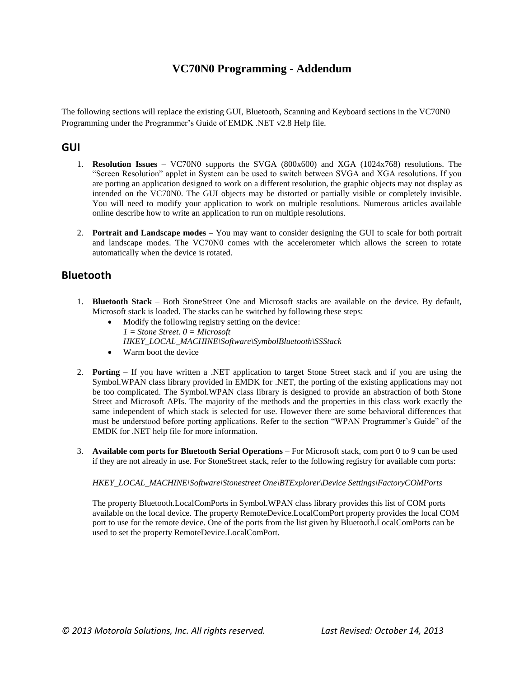### **VC70N0 Programming - Addendum**

The following sections will replace the existing GUI, Bluetooth, Scanning and Keyboard sections in the VC70N0 Programming under the Programmer's Guide of EMDK .NET v2.8 Help file.

#### **GUI**

- 1. **Resolution Issues** VC70N0 supports the SVGA (800x600) and XGA (1024x768) resolutions. The "Screen Resolution" applet in System can be used to switch between SVGA and XGA resolutions. If you are porting an application designed to work on a different resolution, the graphic objects may not display as intended on the VC70N0. The GUI objects may be distorted or partially visible or completely invisible. You will need to modify your application to work on multiple resolutions. Numerous articles available online describe how to write an application to run on multiple resolutions.
- 2. **Portrait and Landscape modes** You may want to consider designing the GUI to scale for both portrait and landscape modes. The VC70N0 comes with the accelerometer which allows the screen to rotate automatically when the device is rotated.

#### **Bluetooth**

- 1. **Bluetooth Stack** Both StoneStreet One and Microsoft stacks are available on the device. By default, Microsoft stack is loaded. The stacks can be switched by following these steps:
	- Modify the following registry setting on the device: *1 = Stone Street. 0 = Microsoft HKEY\_LOCAL\_MACHINE\Software\SymbolBluetooth\SSStack*
	- Warm boot the device
- 2. **Porting** If you have written a .NET application to target Stone Street stack and if you are using the Symbol.WPAN class library provided in EMDK for .NET, the porting of the existing applications may not be too complicated. The Symbol.WPAN class library is designed to provide an abstraction of both Stone Street and Microsoft APIs. The majority of the methods and the properties in this class work exactly the same independent of which stack is selected for use. However there are some behavioral differences that must be understood before porting applications. Refer to the section "WPAN Programmer's Guide" of the EMDK for .NET help file for more information.
- 3. **Available com ports for Bluetooth Serial Operations**  For Microsoft stack, com port 0 to 9 can be used if they are not already in use. For StoneStreet stack, refer to the following registry for available com ports:

#### *HKEY\_LOCAL\_MACHINE\Software\Stonestreet One\BTExplorer\Device Settings\FactoryCOMPorts*

The property Bluetooth.LocalComPorts in Symbol.WPAN class library provides this list of COM ports available on the local device. The property RemoteDevice.LocalComPort property provides the local COM port to use for the remote device. One of the ports from the list given by Bluetooth.LocalComPorts can be used to set the property RemoteDevice.LocalComPort.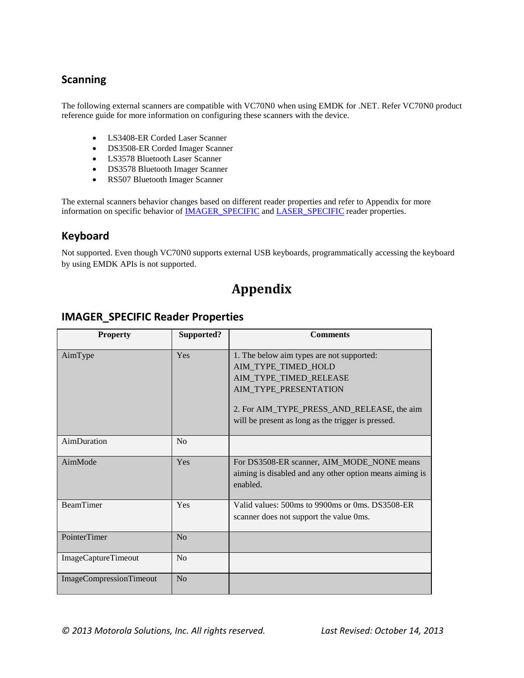## **Scanning**

The following external scanners are compatible with VC70N0 when using EMDK for .NET. Refer VC70N0 product reference guide for more information on configuring these scanners with the device.

- LS3408-ER Corded Laser Scanner
- DS3508-ER Corded Imager Scanner
- LS3578 Bluetooth Laser Scanner
- DS3578 Bluetooth Imager Scanner
- RS507 Bluetooth Imager Scanner

The external scanners behavior changes based on different reader properties and refer to Appendix for more information on specific behavior of [IMAGER\\_SPECIFIC](#page-1-0) and [LASER\\_SPECIFIC](#page-2-0) reader properties.

### **Keyboard**

Not supported. Even though VC70N0 supports external USB keyboards, programmatically accessing the keyboard by using EMDK APIs is not supported.

# **Appendix**

| <b>Property</b>            | Supported?     | <b>Comments</b>                                                     |
|----------------------------|----------------|---------------------------------------------------------------------|
| AimType                    | Yes            | 1. The below aim types are not supported:                           |
|                            |                | AIM_TYPE_TIMED_HOLD                                                 |
|                            |                | AIM_TYPE_TIMED_RELEASE                                              |
|                            |                | AIM_TYPE_PRESENTATION                                               |
|                            |                | 2. For AIM_TYPE_PRESS_AND_RELEASE, the aim                          |
|                            |                | will be present as long as the trigger is pressed.                  |
| AimDuration                | No             |                                                                     |
| AimMode                    | Yes            | For DS3508-ER scanner, AIM_MODE_NONE means                          |
|                            |                | aiming is disabled and any other option means aiming is<br>enabled. |
| <b>BeamTimer</b>           | <b>Yes</b>     | Valid values: 500ms to 9900ms or 0ms. DS3508-ER                     |
|                            |                | scanner does not support the value 0ms.                             |
| PointerTimer               | No             |                                                                     |
| <b>ImageCaptureTimeout</b> | No             |                                                                     |
| ImageCompressionTimeout    | N <sub>o</sub> |                                                                     |

### <span id="page-1-0"></span>**IMAGER\_SPECIFIC Reader Properties**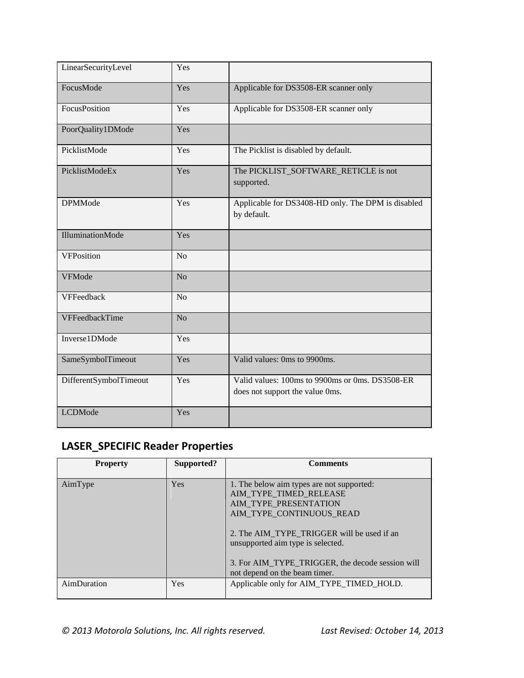| LinearSecurityLevel    | Yes            |                                                                                    |
|------------------------|----------------|------------------------------------------------------------------------------------|
| FocusMode              | Yes            | Applicable for DS3508-ER scanner only                                              |
| FocusPosition          | Yes            | Applicable for DS3508-ER scanner only                                              |
| PoorQuality1DMode      | Yes            |                                                                                    |
| PicklistMode           | Yes            | The Picklist is disabled by default.                                               |
| PicklistModeEx         | Yes            | The PICKLIST_SOFTWARE_RETICLE is not<br>supported.                                 |
| <b>DPMMode</b>         | Yes            | Applicable for DS3408-HD only. The DPM is disabled<br>by default.                  |
| IlluminationMode       | Yes            |                                                                                    |
| VFPosition             | N <sub>o</sub> |                                                                                    |
| VFMode                 | N <sub>o</sub> |                                                                                    |
| VFFeedback             | N <sub>o</sub> |                                                                                    |
| VFFeedbackTime         | N <sub>o</sub> |                                                                                    |
| Inverse1DMode          | Yes            |                                                                                    |
| SameSymbolTimeout      | Yes            | Valid values: 0ms to 9900ms.                                                       |
| DifferentSymbolTimeout | Yes            | Valid values: 100ms to 9900ms or 0ms. DS3508-ER<br>does not support the value Oms. |
| <b>LCDMode</b>         | Yes            |                                                                                    |

# <span id="page-2-0"></span>**LASER\_SPECIFIC Reader Properties**

| <b>Property</b> | Supported? | <b>Comments</b>                                                                                                                                                                                                                                                 |
|-----------------|------------|-----------------------------------------------------------------------------------------------------------------------------------------------------------------------------------------------------------------------------------------------------------------|
| AimType         | Yes        | 1. The below aim types are not supported:<br>AIM_TYPE_TIMED_RELEASE<br>AIM_TYPE_PRESENTATION<br>AIM_TYPE_CONTINUOUS_READ<br>2. The AIM_TYPE_TRIGGER will be used if an<br>unsupported aim type is selected.<br>3. For AIM_TYPE_TRIGGER, the decode session will |
|                 |            | not depend on the beam timer.                                                                                                                                                                                                                                   |
| AimDuration     | Yes        | Applicable only for AIM_TYPE_TIMED_HOLD.                                                                                                                                                                                                                        |